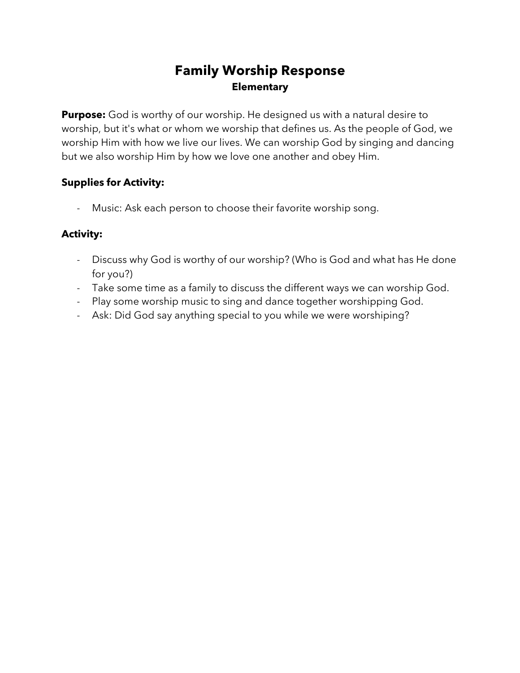# **Family Worship Response Elementary**

**Purpose:** God is worthy of our worship. He designed us with a natural desire to worship, but it's what or whom we worship that defines us. As the people of God, we worship Him with how we live our lives. We can worship God by singing and dancing but we also worship Him by how we love one another and obey Him.

### **Supplies for Activity:**

- Music: Ask each person to choose their favorite worship song.

### **Activity:**

- Discuss why God is worthy of our worship? (Who is God and what has He done for you?)
- Take some time as a family to discuss the different ways we can worship God.
- Play some worship music to sing and dance together worshipping God.
- Ask: Did God say anything special to you while we were worshiping?